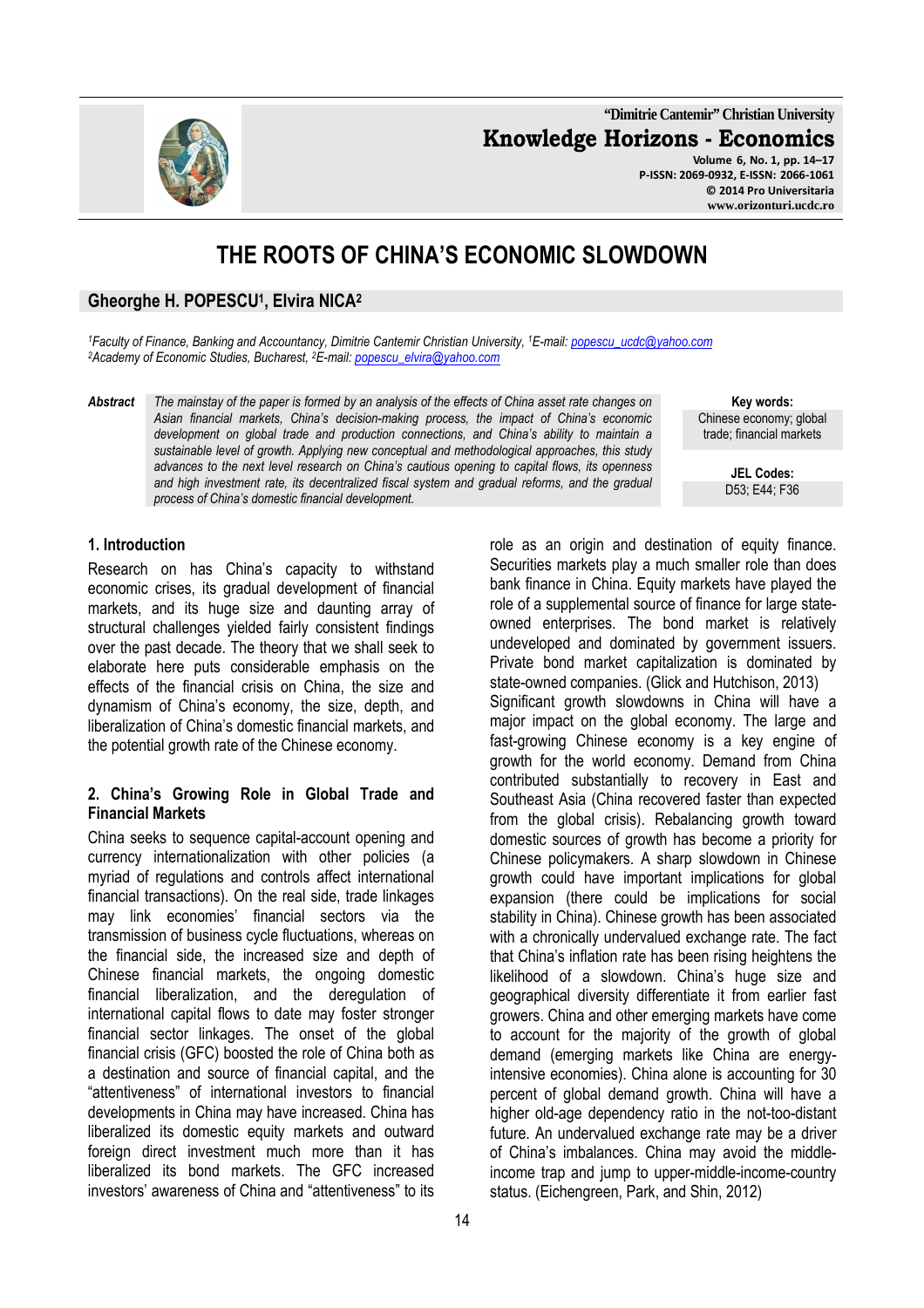**"Dimitrie Cantemir" Christian University Knowledge Horizons - Economics Volume 6, No. 1, pp. 14–17** 

**P-ISSN: 2069-0932, E-ISSN: 2066-1061 © 2014 Pro Universitaria www.orizonturi.ucdc.ro**

# **THE ROOTS OF CHINA'S ECONOMIC SLOWDOWN**

### **Gheorghe H. POPESCU<sup>1</sup> , Elvira NICA<sup>2</sup>**

*<sup>1</sup>Faculty of Finance, Banking and Accountancy, Dimitrie Cantemir Christian University, <sup>1</sup>E-mail: popescu\_ucdc@yahoo.com <sup>2</sup>Academy of Economic Studies, Bucharest, <sup>2</sup>E-mail: popescu\_elvira@yahoo.com*

*Abstract The mainstay of the paper is formed by an analysis of the effects of China asset rate changes on Asian financial markets, China's decision-making process, the impact of China's economic development on global trade and production connections, and China's ability to maintain a sustainable level of growth. Applying new conceptual and methodological approaches, this study advances to the next level research on China's cautious opening to capital flows, its openness*  and high investment rate, its decentralized fiscal system and gradual reforms, and the gradual *process of China's domestic financial development.* 

**Key words:** Chinese economy; global trade; financial markets

> **JEL Codes:** D53; E44; F36

#### **1. Introduction**

Research on has China's capacity to withstand economic crises, its gradual development of financial markets, and its huge size and daunting array of structural challenges yielded fairly consistent findings over the past decade. The theory that we shall seek to elaborate here puts considerable emphasis on the effects of the financial crisis on China, the size and dynamism of China's economy, the size, depth, and liberalization of China's domestic financial markets, and the potential growth rate of the Chinese economy.

#### **2. China's Growing Role in Global Trade and Financial Markets**

China seeks to sequence capital-account opening and currency internationalization with other policies (a myriad of regulations and controls affect international financial transactions). On the real side, trade linkages may link economies' financial sectors via the transmission of business cycle fluctuations, whereas on the financial side, the increased size and depth of Chinese financial markets, the ongoing domestic financial liberalization, and the deregulation of international capital flows to date may foster stronger financial sector linkages. The onset of the global financial crisis (GFC) boosted the role of China both as a destination and source of financial capital, and the "attentiveness" of international investors to financial developments in China may have increased. China has liberalized its domestic equity markets and outward foreign direct investment much more than it has liberalized its bond markets. The GFC increased investors' awareness of China and "attentiveness" to its

role as an origin and destination of equity finance. Securities markets play a much smaller role than does bank finance in China. Equity markets have played the role of a supplemental source of finance for large stateowned enterprises. The bond market is relatively undeveloped and dominated by government issuers. Private bond market capitalization is dominated by state-owned companies. (Glick and Hutchison, 2013) Significant growth slowdowns in China will have a major impact on the global economy. The large and fast-growing Chinese economy is a key engine of growth for the world economy. Demand from China contributed substantially to recovery in East and Southeast Asia (China recovered faster than expected from the global crisis). Rebalancing growth toward domestic sources of growth has become a priority for Chinese policymakers. A sharp slowdown in Chinese growth could have important implications for global expansion (there could be implications for social stability in China). Chinese growth has been associated with a chronically undervalued exchange rate. The fact that China's inflation rate has been rising heightens the likelihood of a slowdown. China's huge size and geographical diversity differentiate it from earlier fast growers. China and other emerging markets have come to account for the majority of the growth of global demand (emerging markets like China are energyintensive economies). China alone is accounting for 30 percent of global demand growth. China will have a higher old-age dependency ratio in the not-too-distant future. An undervalued exchange rate may be a driver of China's imbalances. China may avoid the middleincome trap and jump to upper-middle-income-country status. (Eichengreen, Park, and Shin, 2012)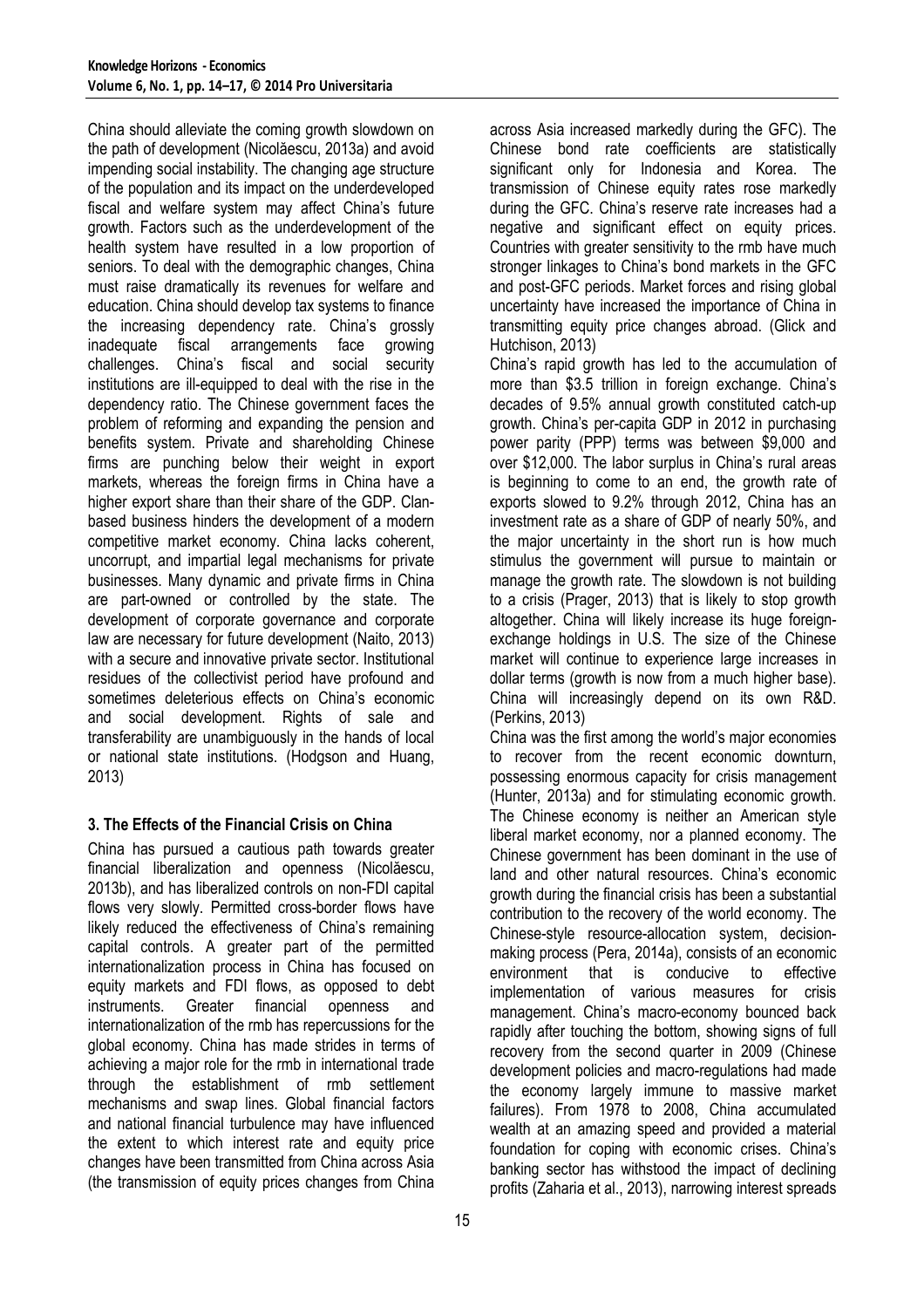China should alleviate the coming growth slowdown on the path of development (Nicolăescu, 2013a) and avoid impending social instability. The changing age structure of the population and its impact on the underdeveloped fiscal and welfare system may affect China's future growth. Factors such as the underdevelopment of the health system have resulted in a low proportion of seniors. To deal with the demographic changes, China must raise dramatically its revenues for welfare and education. China should develop tax systems to finance the increasing dependency rate. China's grossly inadequate fiscal arrangements face growing challenges. China's fiscal and social security institutions are ill-equipped to deal with the rise in the dependency ratio. The Chinese government faces the problem of reforming and expanding the pension and benefits system. Private and shareholding Chinese firms are punching below their weight in export markets, whereas the foreign firms in China have a higher export share than their share of the GDP. Clanbased business hinders the development of a modern competitive market economy. China lacks coherent, uncorrupt, and impartial legal mechanisms for private businesses. Many dynamic and private firms in China are part-owned or controlled by the state. The development of corporate governance and corporate law are necessary for future development (Naito, 2013) with a secure and innovative private sector. Institutional residues of the collectivist period have profound and sometimes deleterious effects on China's economic and social development. Rights of sale and transferability are unambiguously in the hands of local or national state institutions. (Hodgson and Huang, 2013)

### **3. The Effects of the Financial Crisis on China**

China has pursued a cautious path towards greater financial liberalization and openness (Nicolăescu, 2013b), and has liberalized controls on non-FDI capital flows very slowly. Permitted cross-border flows have likely reduced the effectiveness of China's remaining capital controls. A greater part of the permitted internationalization process in China has focused on equity markets and FDI flows, as opposed to debt instruments. Greater financial openness and internationalization of the rmb has repercussions for the global economy. China has made strides in terms of achieving a major role for the rmb in international trade through the establishment of rmb settlement mechanisms and swap lines. Global financial factors and national financial turbulence may have influenced the extent to which interest rate and equity price changes have been transmitted from China across Asia (the transmission of equity prices changes from China

across Asia increased markedly during the GFC). The Chinese bond rate coefficients are statistically significant only for Indonesia and Korea. The transmission of Chinese equity rates rose markedly during the GFC. China's reserve rate increases had a negative and significant effect on equity prices. Countries with greater sensitivity to the rmb have much stronger linkages to China's bond markets in the GFC and post-GFC periods. Market forces and rising global uncertainty have increased the importance of China in transmitting equity price changes abroad. (Glick and Hutchison, 2013)

China's rapid growth has led to the accumulation of more than \$3.5 trillion in foreign exchange. China's decades of 9.5% annual growth constituted catch-up growth. China's per-capita GDP in 2012 in purchasing power parity (PPP) terms was between \$9,000 and over \$12,000. The labor surplus in China's rural areas is beginning to come to an end, the growth rate of exports slowed to 9.2% through 2012, China has an investment rate as a share of GDP of nearly 50%, and the major uncertainty in the short run is how much stimulus the government will pursue to maintain or manage the growth rate. The slowdown is not building to a crisis (Prager, 2013) that is likely to stop growth altogether. China will likely increase its huge foreignexchange holdings in U.S. The size of the Chinese market will continue to experience large increases in dollar terms (growth is now from a much higher base). China will increasingly depend on its own R&D. (Perkins, 2013)

China was the first among the world's major economies to recover from the recent economic downturn, possessing enormous capacity for crisis management (Hunter, 2013a) and for stimulating economic growth. The Chinese economy is neither an American style liberal market economy, nor a planned economy. The Chinese government has been dominant in the use of land and other natural resources. China's economic growth during the financial crisis has been a substantial contribution to the recovery of the world economy. The Chinese-style resource-allocation system, decisionmaking process (Pera, 2014a), consists of an economic environment that is conducive to effective implementation of various measures for crisis management. China's macro-economy bounced back rapidly after touching the bottom, showing signs of full recovery from the second quarter in 2009 (Chinese development policies and macro-regulations had made the economy largely immune to massive market failures). From 1978 to 2008, China accumulated wealth at an amazing speed and provided a material foundation for coping with economic crises. China's banking sector has withstood the impact of declining profits (Zaharia et al., 2013), narrowing interest spreads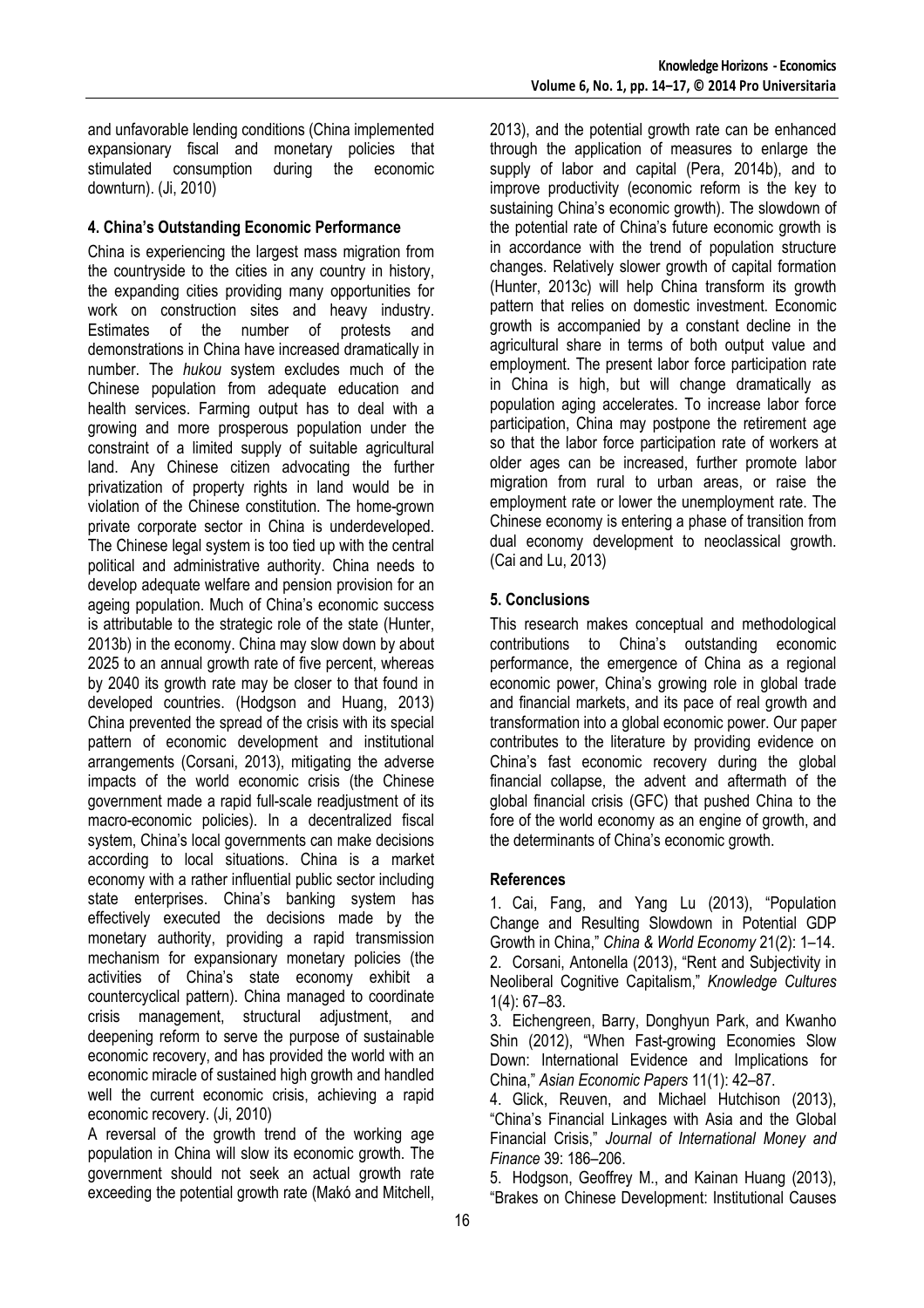and unfavorable lending conditions (China implemented expansionary fiscal and monetary policies that stimulated consumption during the economic downturn). (Ji, 2010)

## **4. China's Outstanding Economic Performance**

China is experiencing the largest mass migration from the countryside to the cities in any country in history, the expanding cities providing many opportunities for work on construction sites and heavy industry. Estimates of the number of protests and demonstrations in China have increased dramatically in number. The *hukou* system excludes much of the Chinese population from adequate education and health services. Farming output has to deal with a growing and more prosperous population under the constraint of a limited supply of suitable agricultural land. Any Chinese citizen advocating the further privatization of property rights in land would be in violation of the Chinese constitution. The home-grown private corporate sector in China is underdeveloped. The Chinese legal system is too tied up with the central political and administrative authority. China needs to develop adequate welfare and pension provision for an ageing population. Much of China's economic success is attributable to the strategic role of the state (Hunter, 2013b) in the economy. China may slow down by about 2025 to an annual growth rate of five percent, whereas by 2040 its growth rate may be closer to that found in developed countries. (Hodgson and Huang, 2013) China prevented the spread of the crisis with its special pattern of economic development and institutional arrangements (Corsani, 2013), mitigating the adverse impacts of the world economic crisis (the Chinese government made a rapid full-scale readjustment of its macro-economic policies). In a decentralized fiscal system, China's local governments can make decisions according to local situations. China is a market economy with a rather influential public sector including state enterprises. China's banking system has effectively executed the decisions made by the monetary authority, providing a rapid transmission mechanism for expansionary monetary policies (the activities of China's state economy exhibit a countercyclical pattern). China managed to coordinate crisis management, structural adjustment, and deepening reform to serve the purpose of sustainable economic recovery, and has provided the world with an economic miracle of sustained high growth and handled well the current economic crisis, achieving a rapid economic recovery. (Ji, 2010)

A reversal of the growth trend of the working age population in China will slow its economic growth. The government should not seek an actual growth rate exceeding the potential growth rate (Makó and Mitchell, 2013), and the potential growth rate can be enhanced through the application of measures to enlarge the supply of labor and capital (Pera, 2014b), and to improve productivity (economic reform is the key to sustaining China's economic growth). The slowdown of the potential rate of China's future economic growth is in accordance with the trend of population structure changes. Relatively slower growth of capital formation (Hunter, 2013c) will help China transform its growth pattern that relies on domestic investment. Economic growth is accompanied by a constant decline in the agricultural share in terms of both output value and employment. The present labor force participation rate in China is high, but will change dramatically as population aging accelerates. To increase labor force participation, China may postpone the retirement age so that the labor force participation rate of workers at older ages can be increased, further promote labor migration from rural to urban areas, or raise the employment rate or lower the unemployment rate. The Chinese economy is entering a phase of transition from dual economy development to neoclassical growth. (Cai and Lu, 2013)

## **5. Conclusions**

This research makes conceptual and methodological contributions to China's outstanding economic performance, the emergence of China as a regional economic power, China's growing role in global trade and financial markets, and its pace of real growth and transformation into a global economic power. Our paper contributes to the literature by providing evidence on China's fast economic recovery during the global financial collapse, the advent and aftermath of the global financial crisis (GFC) that pushed China to the fore of the world economy as an engine of growth, and the determinants of China's economic growth.

### **References**

1. Cai, Fang, and Yang Lu (2013), "Population Change and Resulting Slowdown in Potential GDP Growth in China," *China & World Economy* 21(2): 1–14. 2. Corsani, Antonella (2013), "Rent and Subjectivity in Neoliberal Cognitive Capitalism," *Knowledge Cultures* 1(4): 67–83.

3. Eichengreen, Barry, Donghyun Park, and Kwanho Shin (2012), "When Fast-growing Economies Slow Down: International Evidence and Implications for China," *Asian Economic Papers* 11(1): 42–87.

4. Glick, Reuven, and Michael Hutchison (2013), "China's Financial Linkages with Asia and the Global Financial Crisis," *Journal of International Money and Finance* 39: 186–206.

5. Hodgson, Geoffrey M., and Kainan Huang (2013), "Brakes on Chinese Development: Institutional Causes